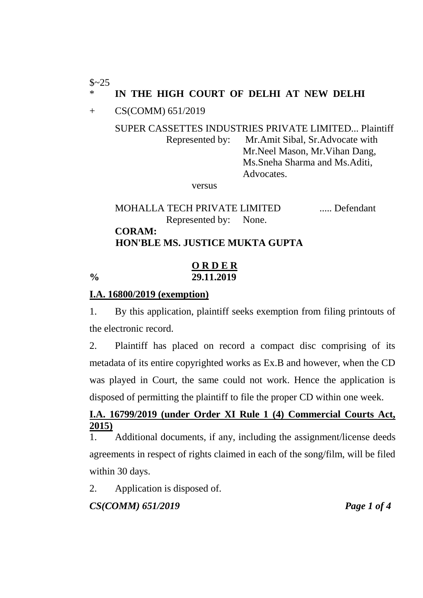## IN THE HIGH COURT OF DELHI AT NEW DELHI

+ CS(COMM) 651/2019

#### SUPER CASSETTES INDUSTRIES PRIVATE LIMITED... Plaintiff Represented by: Mr.Amit Sibal, Sr.Advocate with Mr.Neel Mason, Mr.Vihan Dang, Ms.Sneha Sharma and Ms.Aditi, Advocates.

versus

MOHALLA TECH PRIVATE LIMITED ..... Defendant Represented by: None. **CORAM:**

# **HON'BLE MS. JUSTICE MUKTA GUPTA**

 $$~25$ 

#### **O R D E R % 29.11.2019**

#### **I.A. 16800/2019 (exemption)**

1. By this application, plaintiff seeks exemption from filing printouts of the electronic record.

2. Plaintiff has placed on record a compact disc comprising of its metadata of its entire copyrighted works as Ex.B and however, when the CD was played in Court, the same could not work. Hence the application is disposed of permitting the plaintiff to file the proper CD within one week.

## **I.A. 16799/2019 (under Order XI Rule 1 (4) Commercial Courts Act, 2015)**

1. Additional documents, if any, including the assignment/license deeds agreements in respect of rights claimed in each of the song/film, will be filed within 30 days.

2. Application is disposed of.

*CS(COMM) 651/2019 Page 1 of 4*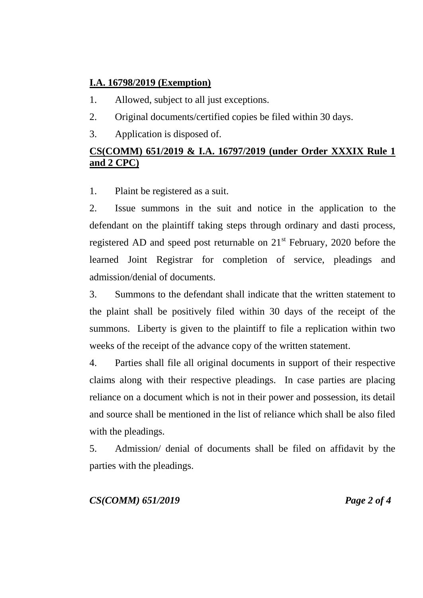### **I.A. 16798/2019 (Exemption)**

- 1. Allowed, subject to all just exceptions.
- 2. Original documents/certified copies be filed within 30 days.
- 3. Application is disposed of.

# **CS(COMM) 651/2019 & I.A. 16797/2019 (under Order XXXIX Rule 1 and 2 CPC)**

1. Plaint be registered as a suit.

2. Issue summons in the suit and notice in the application to the defendant on the plaintiff taking steps through ordinary and dasti process, registered AD and speed post returnable on 21<sup>st</sup> February, 2020 before the learned Joint Registrar for completion of service, pleadings and admission/denial of documents.

3. Summons to the defendant shall indicate that the written statement to the plaint shall be positively filed within 30 days of the receipt of the summons. Liberty is given to the plaintiff to file a replication within two weeks of the receipt of the advance copy of the written statement.

4. Parties shall file all original documents in support of their respective claims along with their respective pleadings. In case parties are placing reliance on a document which is not in their power and possession, its detail and source shall be mentioned in the list of reliance which shall be also filed with the pleadings.

5. Admission/ denial of documents shall be filed on affidavit by the parties with the pleadings.

*CS(COMM) 651/2019 Page 2 of 4*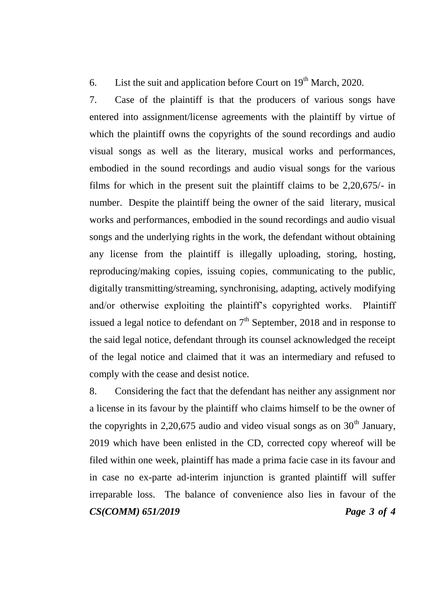6. List the suit and application before Court on  $19<sup>th</sup>$  March, 2020.

7. Case of the plaintiff is that the producers of various songs have entered into assignment/license agreements with the plaintiff by virtue of which the plaintiff owns the copyrights of the sound recordings and audio visual songs as well as the literary, musical works and performances, embodied in the sound recordings and audio visual songs for the various films for which in the present suit the plaintiff claims to be 2,20,675/- in number. Despite the plaintiff being the owner of the said literary, musical works and performances, embodied in the sound recordings and audio visual songs and the underlying rights in the work, the defendant without obtaining any license from the plaintiff is illegally uploading, storing, hosting, reproducing/making copies, issuing copies, communicating to the public, digitally transmitting/streaming, synchronising, adapting, actively modifying and/or otherwise exploiting the plaintiff's copyrighted works. Plaintiff issued a legal notice to defendant on  $7<sup>th</sup>$  September, 2018 and in response to the said legal notice, defendant through its counsel acknowledged the receipt of the legal notice and claimed that it was an intermediary and refused to comply with the cease and desist notice.

8. Considering the fact that the defendant has neither any assignment nor a license in its favour by the plaintiff who claims himself to be the owner of the copyrights in 2,20,675 audio and video visual songs as on  $30<sup>th</sup>$  January, 2019 which have been enlisted in the CD, corrected copy whereof will be filed within one week, plaintiff has made a prima facie case in its favour and in case no ex-parte ad-interim injunction is granted plaintiff will suffer irreparable loss. The balance of convenience also lies in favour of the *CS(COMM) 651/2019 Page 3 of 4*